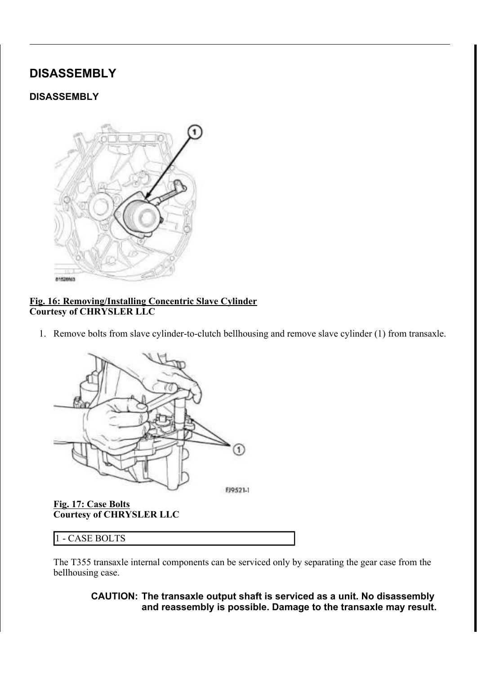# DISASSEMBLY

## **DISASSEMBLY**



#### Fig. 16: Removing/Installing Concentric Slave Cylinder Courtesy of CHRYSLER LLC

1. Remove bolts from slave cylinder-to-clutch bellhousing and remove slave cylinder (1) from transaxle.



Fig. 17: Case Bolts Courtesy of CHRYSLER LLC

| ASE BOLTS<br>$\blacksquare$<br>- 14<br>- 1 |
|--------------------------------------------|
|--------------------------------------------|

The T355 transaxle internal components can be serviced only by separating the gear case from the bellhousing case.

> CAUTION: The transaxle output shaft is serviced as a unit. No disassembly and reassembly is possible. Damage to the transaxle may result.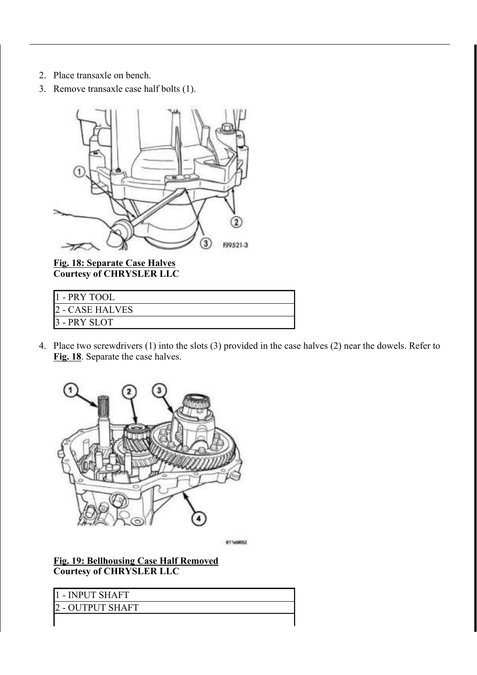- 2. Place transaxle on bench.
- 3. Remove transaxle case half bolts (1).



Fig. 18: Separate Case Halves Courtesy of CHRYSLER LLC

| 1 - PRY TOOL    |  |
|-----------------|--|
| 2 - CASE HALVES |  |
| 3 - PRY SLOT    |  |

4. Place two screwdrivers (1) into the slots (3) provided in the case halves (2) near the dowels. Refer to Fig. 18. Separate the case halves.



811x9662

Fig. 19: Bellhousing Case Half Removed Courtesy of CHRYSLER LLC

| - INPUT SHAFT    |  |
|------------------|--|
| 2 - OUTPUT SHAFT |  |
|                  |  |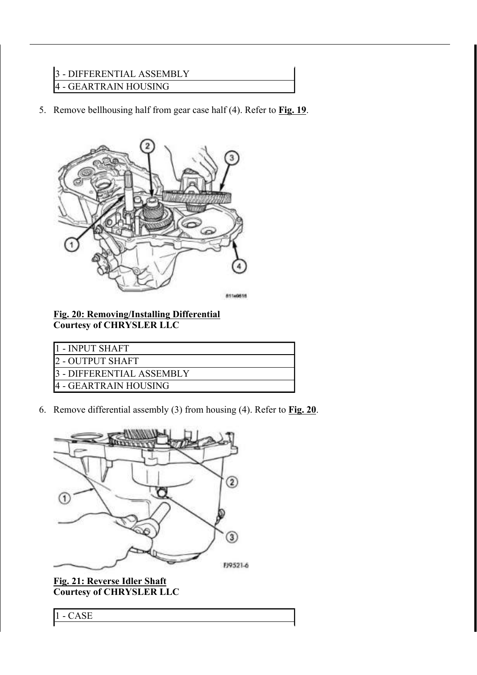## 3 - DIFFERENTIAL ASSEMBLY 4 - GEARTRAIN HOUSING

5. Remove bellhousing half from gear case half  $(4)$ . Refer to **Fig. 19**.



Fig. 20: Removing/Installing Differential Courtesy of CHRYSLER LLC

| 11 - INPUT SHAFT           |
|----------------------------|
| 12 - OUTPUT SHAFT          |
| 13 - DIFFERENTIAL ASSEMBLY |
| 14 - GEARTRAIN HOUSING     |

6. Remove differential assembly  $(3)$  from housing  $(4)$ . Refer to Fig. 20.



Fig. 21: Reverse Idler Shaft Courtesy of CHRYSLER LLC

1 - CASE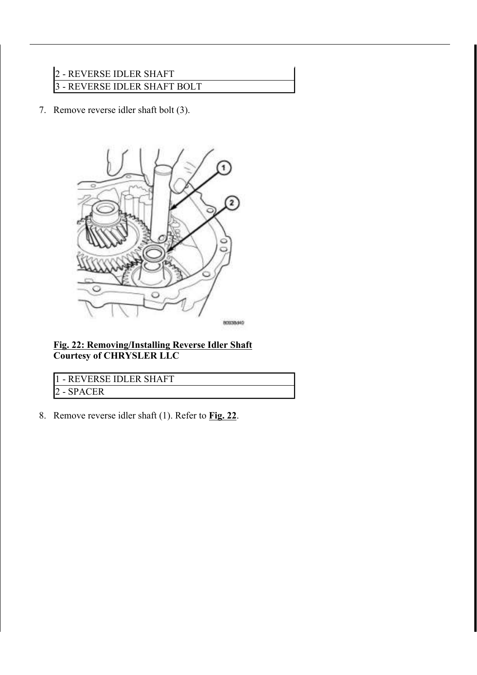# 2 - REVERSE IDLER SHAFT 3 - REVERSE IDLER SHAFT BOLT

7. Remove reverse idler shaft bolt (3).



Fig. 22: Removing/Installing Reverse Idler Shaft Courtesy of CHRYSLER LLC

| 11 - REVERSE IDLER SHAFT |
|--------------------------|
| NP A L'                  |

8. Remove reverse idler shaft (1). Refer to Fig. 22.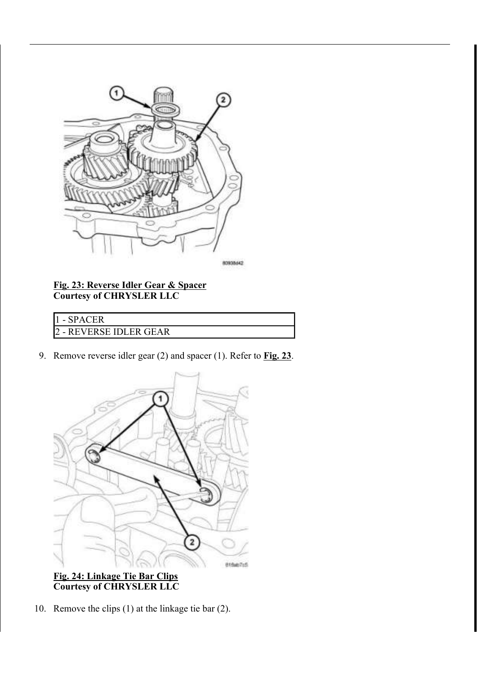

80938642

## Fig. 23: Reverse Idler Gear & Spacer Courtesy of CHRYSLER LLC

| – SPACER             |  |
|----------------------|--|
| - REVERSE IDLER GEAR |  |

9. Remove reverse idler gear  $(2)$  and spacer  $(1)$ . Refer to Fig. 23.



Fig. 24: Linkage Tie Bar Clips Courtesy of CHRYSLER LLC

10. Remove the clips (1) at the linkage tie bar (2).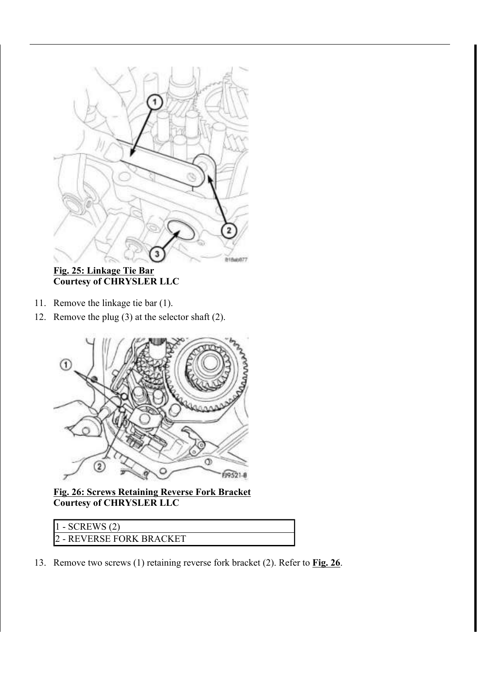

Fig. 25: Linkage Tie Bar Courtesy of CHRYSLER LLC

- 11. Remove the linkage tie bar (1).
- 12. Remove the plug (3) at the selector shaft (2).



Fig. 26: Screws Retaining Reverse Fork Bracket Courtesy of CHRYSLER LLC

| $1 - SCREWS(2)$          |  |
|--------------------------|--|
| 2 - REVERSE FORK BRACKET |  |

13. Remove two screws (1) retaining reverse fork bracket (2). Refer to **Fig. 26**.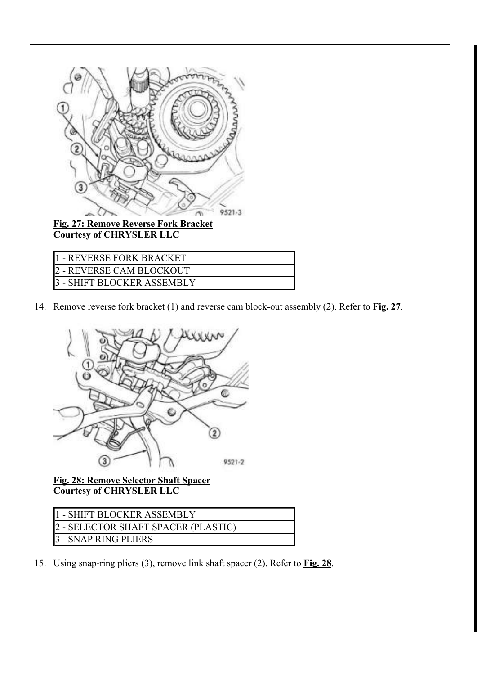

Fig. 27: Remove Reverse Fork Bracket Courtesy of CHRYSLER LLC

| 1 - REVERSE FORK BRACKET   |
|----------------------------|
| 2 - REVERSE CAM BLOCKOUT   |
| 3 - SHIFT BLOCKER ASSEMBLY |
|                            |

14. Remove reverse fork bracket (1) and reverse cam block-out assembly (2). Refer to Fig. 27.



Fig. 28: Remove Selector Shaft Spacer Courtesy of CHRYSLER LLC

| 11 - SHIFT BLOCKER ASSEMBLY         |  |
|-------------------------------------|--|
| 2 - SELECTOR SHAFT SPACER (PLASTIC) |  |
| 3 - SNAP RING PLIERS                |  |

15. Using snap-ring pliers (3), remove link shaft spacer (2). Refer to Fig. 28.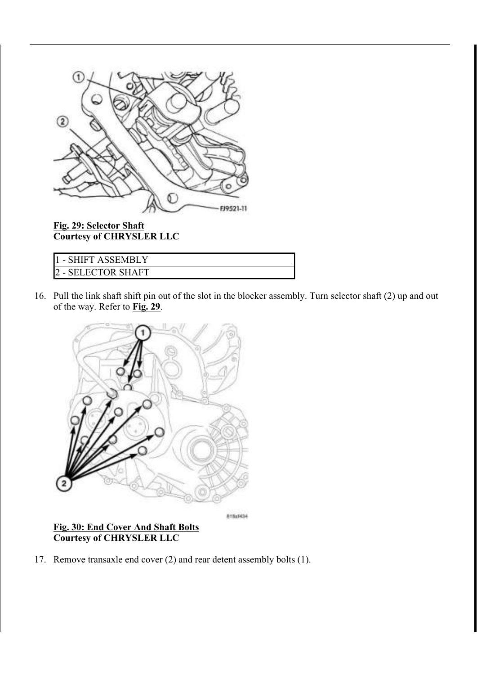

Fig. 29: Selector Shaft Courtesy of CHRYSLER LLC

| 11 - SHIFT ASSEMBL ' |  |
|----------------------|--|
| 2 - SELECTOR SHAFT   |  |

16. Pull the link shaft shift pin out of the slot in the blocker assembly. Turn selector shaft (2) up and out of the way. Refer to Fig. 29.



815x9434

## Fig. 30: End Cover And Shaft Bolts Courtesy of CHRYSLER LLC

17. Remove transaxle end cover (2) and rear detent assembly bolts (1).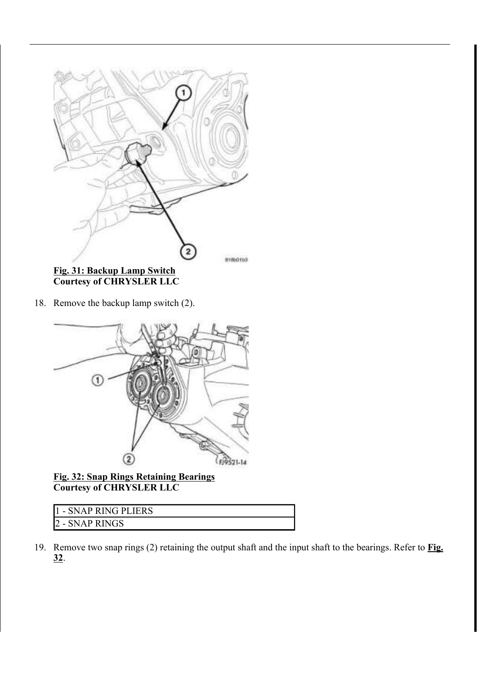

Courtesy of CHRYSLER LLC

18. Remove the backup lamp switch (2).



Fig. 32: Snap Rings Retaining Bearings Courtesy of CHRYSLER LLC

| 11 - SNAP RING PLIERS |  |
|-----------------------|--|
| 2 - SNAP RINGS        |  |

19. Remove two snap rings (2) retaining the output shaft and the input shaft to the bearings. Refer to **Fig.** 32.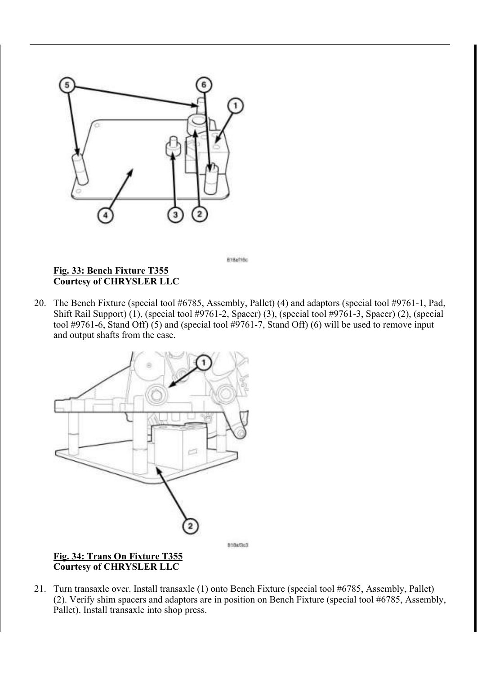

Fig. 33: Bench Fixture T355 Courtesy of CHRYSLER LLC

20. The Bench Fixture (special tool #6785, Assembly, Pallet) (4) and adaptors (special tool #9761-1, Pad, Shift Rail Support) (1), (special tool #9761-2, Spacer) (3), (special tool #9761-3, Spacer) (2), (special tool #9761-6, Stand Off) (5) and (special tool #9761-7, Stand Off) (6) will be used to remove input and output shafts from the case.

B18af16c



21. Turn transaxle over. Install transaxle (1) onto Bench Fixture (special tool #6785, Assembly, Pallet) (2). Verify shim spacers and adaptors are in position on Bench Fixture (special tool #6785, Assembly, Pallet). Install transaxle into shop press.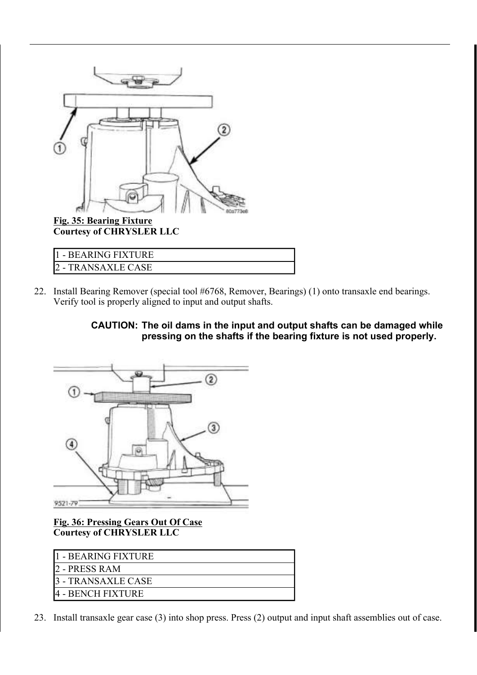

Courtesy of CHRYSLER LLC

| I1 - BEARING FIXTURE |
|----------------------|
| - TRANSAXLE CASE     |

22. Install Bearing Remover (special tool #6768, Remover, Bearings) (1) onto transaxle end bearings. Verify tool is properly aligned to input and output shafts.

> CAUTION: The oil dams in the input and output shafts can be damaged while pressing on the shafts if the bearing fixture is not used properly.



Fig. 36: Pressing Gears Out Of Case Courtesy of CHRYSLER LLC

| 1 - BEARING FIXTURE |
|---------------------|
| 12 - PRESS RAM      |
| - TRANSAXLE CASE    |
| 4 - BENCH FIXTURE   |

23. Install transaxle gear case (3) into shop press. Press (2) output and input shaft assemblies out of case.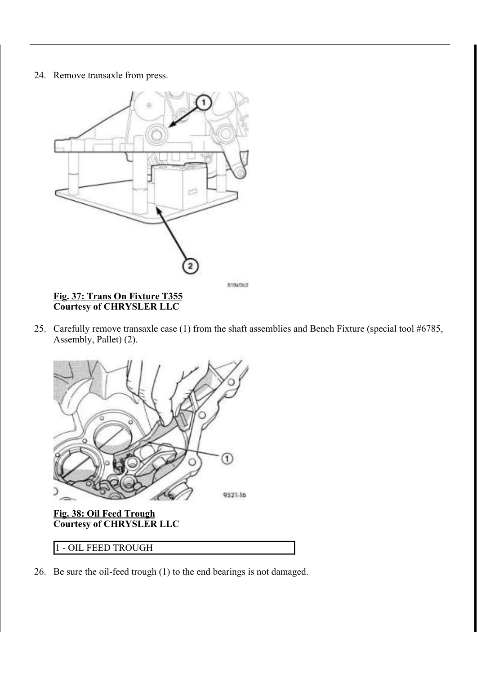#### 24. Remove transaxle from press.



#### Fig. 37: Trans On Fixture T355 Courtesy of CHRYSLER LLC

25. Carefully remove transaxle case (1) from the shaft assemblies and Bench Fixture (special tool #6785, Assembly, Pallet) (2).



## 1 - OIL FEED TROUGH

26. Be sure the oil-feed trough (1) to the end bearings is not damaged.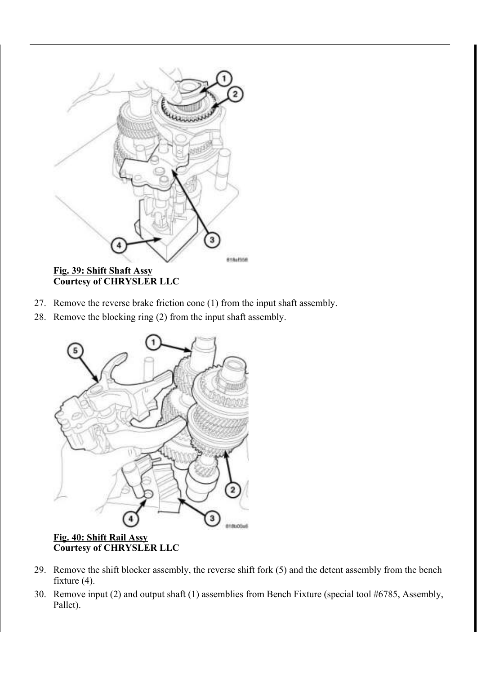

Fig. 39: Shift Shaft Assy Courtesy of CHRYSLER LLC

- 27. Remove the reverse brake friction cone (1) from the input shaft assembly.
- 28. Remove the blocking ring (2) from the input shaft assembly.



Courtesy of CHRYSLER LLC

- 29. Remove the shift blocker assembly, the reverse shift fork (5) and the detent assembly from the bench fixture (4).
- 30. Remove input (2) and output shaft (1) assemblies from Bench Fixture (special tool #6785, Assembly, Pallet).